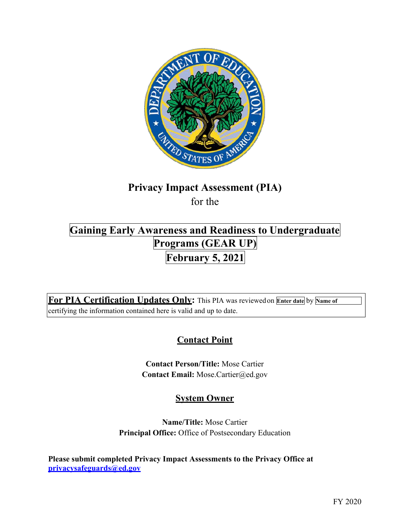

# **Privacy Impact Assessment (PIA)**

for the

## **Programs (GEAR UP) February 5, 2021 Gaining Early Awareness and Readiness to Undergraduate**

 **For PIA Certification Updates Only:** This PIA was reviewedon **Enter date** by **Name of**  certifying the information contained here is valid and up to date.

## **Contact Point**

**Contact Person/Title:** Mose Cartier **Contact Email:** [Mose.Cartier@ed.gov](mailto:Mose.Cartier@ed.gov) 

### **System Owner**

**Name/Title:** Mose Cartier **Principal Office:** Office of Postsecondary Education

 **Please submit completed Privacy Impact Assessments to the Privacy Office at [privacysafeguards@ed.gov](mailto:privacysafeguards@ed.gov)**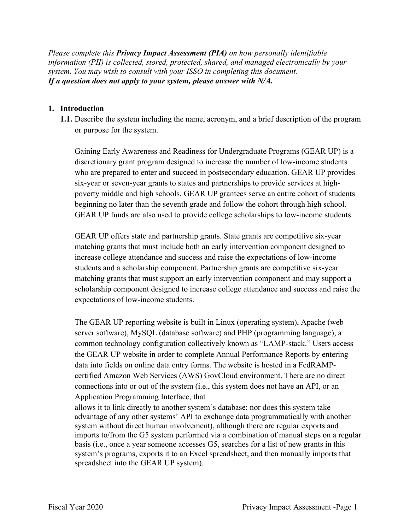*Please complete this Privacy Impact Assessment (PIA) on how personally identifiable information (PII) is collected, stored, protected, shared, and managed electronically by your system. You may wish to consult with your ISSO in completing this document. If a question does not apply to your system, please answer with N/A.* 

#### **1. Introduction**

 **1.1.** Describe the system including the name, acronym, and a brief description of the program or purpose for the system.

Gaining Early Awareness and Readiness for Undergraduate Programs (GEAR UP) is a discretionary grant program designed to increase the number of low-income students who are prepared to enter and succeed in postsecondary education. GEAR UP provides six-year or seven-year grants to states and partnerships to provide services at highpoverty middle and high schools. GEAR UP grantees serve an entire cohort of students beginning no later than the seventh grade and follow the cohort through high school. GEAR UP funds are also used to provide college scholarships to low-income students.

 students and a scholarship component. Partnership grants are competitive six-year scholarship component designed to increase college attendance and success and raise the GEAR UP offers state and partnership grants. State grants are competitive six-year matching grants that must include both an early intervention component designed to increase college attendance and success and raise the expectations of low-income matching grants that must support an early intervention component and may support a expectations of low-income students.

 The GEAR UP reporting website is built in Linux (operating system), Apache (web server software), MySQL (database software) and PHP (programming language), a common technology configuration collectively known as "LAMP-stack." Users access the GEAR UP website in order to complete Annual Performance Reports by entering data into fields on online data entry forms. The website is hosted in a FedRAMPcertified Amazon Web Services (AWS) GovCloud environment. There are no direct connections into or out of the system (i.e., this system does not have an API, or an Application Programming Interface, that

 system's programs, exports it to an Excel spreadsheet, and then manually imports that allows it to link directly to another system's database; nor does this system take advantage of any other systems' API to exchange data programmatically with another system without direct human involvement), although there are regular exports and imports to/from the G5 system performed via a combination of manual steps on a regular basis (i.e., once a year someone accesses G5, searches for a list of new grants in this spreadsheet into the GEAR UP system).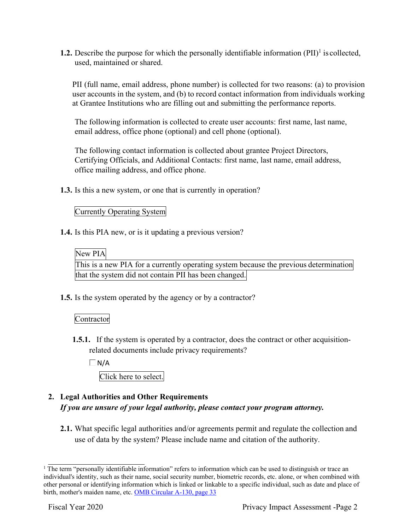**1.2.** Describe the purpose for which the personally identifiable information (PII)<sup>1</sup> is collected, used, maintained or shared.

PII (full name, email address, phone number) is collected for two reasons: (a) to provision user accounts in the system, and (b) to record contact information from individuals working at Grantee Institutions who are filling out and submitting the performance reports.

The following information is collected to create user accounts: first name, last name, email address, office phone (optional) and cell phone (optional).

 The following contact information is collected about grantee Project Directors, Certifying Officials, and Additional Contacts: first name, last name, email address, office mailing address, and office phone.

**1.3.** Is this a new system, or one that is currently in operation?

#### Currently Operating System

**1.4.** Is this PIA new, or is it updating a previous version?

#### New PIA

This is a new PIA for a currently operating system because the previous determination that the system did not contain PII has been changed.

**1.5.** Is the system operated by the agency or by a contractor?

#### **Contractor**

**1.5.1.** If the system is operated by a contractor, does the contract or other acquisitionrelated documents include privacy requirements?

 $\Box$ N/A

Click here to select.

#### **2. Legal Authorities and Other Requirements**  *If you are unsure of your legal authority, please contact your program attorney.*

 **2.1.** What specific legal authorities and/or agreements permit and regulate the collection and use of data by the system? Please include name and citation of the authority.

 $1$  The term "personally identifiable information" refers to information which can be used to distinguish or trace an individual's identity, such as their name, social security number, biometric records, etc. alone, or when combined with other personal or identifying information which is linked or linkable to a specific individual, such as date and place of birth, mother's maiden name, etc. OMB Circular A-130, page 33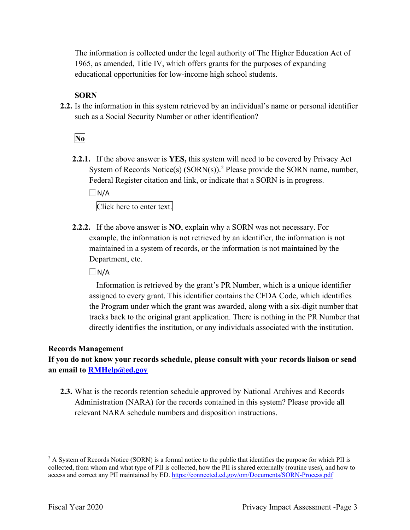The information is collected under the legal authority of The Higher Education Act of 1965, as amended, Title IV, which offers grants for the purposes of expanding educational opportunities for low-income high school students.

#### **SORN**

 **2.2.** Is the information in this system retrieved by an individual's name or personal identifier such as a Social Security Number or other identification?

**No** 

 Federal Register citation and link, or indicate that a SORN is in progress. **2.2.1.** If the above answer is **YES,** this system will need to be covered by Privacy Act System of Records Notice(s)  $(SORN(s))$ .<sup>2</sup> Please provide the SORN name, number,

 $\Box$ N/A

Click here to enter text.

**2.2.2.** If the above answer is **NO**, explain why a SORN was not necessary. For example, the information is not retrieved by an identifier, the information is not maintained in a system of records, or the information is not maintained by the Department, etc.

 $\Box$  N/A

 assigned to every grant. This identifier contains the CFDA Code, which identifies tracks back to the original grant application. There is nothing in the PR Number that directly identifies the institution, or any individuals associated with the institution. Information is retrieved by the grant's PR Number, which is a unique identifier the Program under which the grant was awarded, along with a six-digit number that

#### **Records Management**

 **an email to [RMHelp@ed.gov](mailto:RMHelp@ed.gov) If you do not know your records schedule, please consult with your records liaison or send** 

 relevant NARA schedule numbers and disposition instructions. **2.3.** What is the records retention schedule approved by National Archives and Records Administration (NARA) for the records contained in this system? Please provide all

 $2^2$  A System of Records Notice (SORN) is a formal notice to the public that identifies the purpose for which PII is collected, from whom and what type of PII is collected, how the PII is shared externally (routine uses), and how to access and correct any PII maintained by ED. <https://connected.ed.gov/om/Documents/SORN-Process.pdf>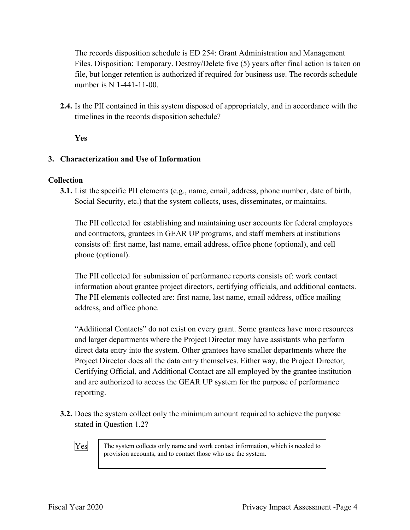Files. Disposition: Temporary. Destroy/Delete five (5) years after final action is taken on The records disposition schedule is ED 254: Grant Administration and Management file, but longer retention is authorized if required for business use. The records schedule number is N 1-441-11-00.

 timelines in the records disposition schedule? **2.4.** Is the PII contained in this system disposed of appropriately, and in accordance with the

**Yes** 

#### **3. Characterization and Use of Information**

#### **Collection**

 Social Security, etc.) that the system collects, uses, disseminates, or maintains. **3.1.** List the specific PII elements (e.g., name, email, address, phone number, date of birth,

The PII collected for establishing and maintaining user accounts for federal employees and contractors, grantees in GEAR UP programs, and staff members at institutions consists of: first name, last name, email address, office phone (optional), and cell phone (optional).

The PII collected for submission of performance reports consists of: work contact information about grantee project directors, certifying officials, and additional contacts. The PII elements collected are: first name, last name, email address, office mailing address, and office phone.

"Additional Contacts" do not exist on every grant. Some grantees have more resources and larger departments where the Project Director may have assistants who perform direct data entry into the system. Other grantees have smaller departments where the Project Director does all the data entry themselves. Either way, the Project Director, Certifying Official, and Additional Contact are all employed by the grantee institution and are authorized to access the GEAR UP system for the purpose of performance reporting.

 **3.2.** Does the system collect only the minimum amount required to achieve the purpose stated in Question 1.2?

Yes The system collects only name and work contact information, which is needed to provision accounts, and to contact those who use the system.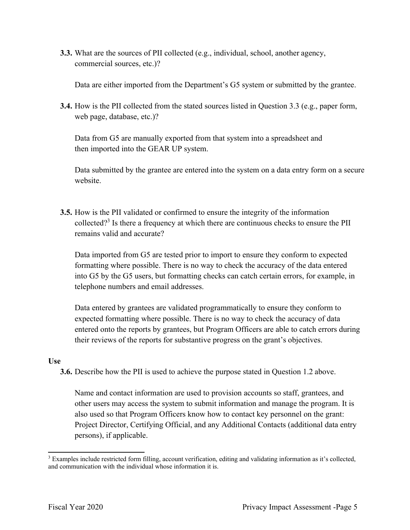commercial sources, etc.)? **3.3.** What are the sources of PII collected (e.g., individual, school, another agency,

Data are either imported from the Department's G5 system or submitted by the grantee.

 **3.4.** How is the PII collected from the stated sources listed in Question 3.3 (e.g., paper form, web page, database, etc.)?

Data from G5 are manually exported from that system into a spreadsheet and then imported into the GEAR UP system.

Data submitted by the grantee are entered into the system on a data entry form on a secure website.

collected?<sup>3</sup> Is there a frequency at which there are continuous checks to ensure the PII remains valid and accurate? **3.5.** How is the PII validated or confirmed to ensure the integrity of the information

 formatting where possible. There is no way to check the accuracy of the data entered Data imported from G5 are tested prior to import to ensure they conform to expected into G5 by the G5 users, but formatting checks can catch certain errors, for example, in telephone numbers and email addresses.

 Data entered by grantees are validated programmatically to ensure they conform to expected formatting where possible. There is no way to check the accuracy of data their reviews of the reports for substantive progress on the grant's objectives. entered onto the reports by grantees, but Program Officers are able to catch errors during

#### **Use**

**3.6.** Describe how the PII is used to achieve the purpose stated in Question 1.2 above.

Name and contact information are used to provision accounts so staff, grantees, and other users may access the system to submit information and manage the program. It is also used so that Program Officers know how to contact key personnel on the grant: Project Director, Certifying Official, and any Additional Contacts (additional data entry persons), if applicable.

 $3$  Examples include restricted form filling, account verification, editing and validating information as it's collected, and communication with the individual whose information it is.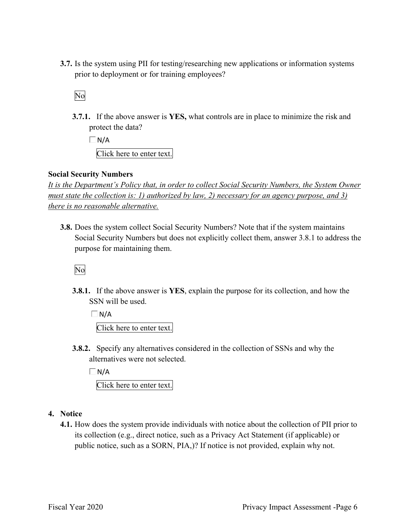prior to deployment or for training employees? **3.7.** Is the system using PII for testing/researching new applications or information systems

No

 **3.7.1.** If the above answer is **YES,** what controls are in place to minimize the risk and protect the data?

 $\Box$ N/A Click here to enter text.

#### **Social Security Numbers**

*It is the Department's Policy that, in order to collect Social Security Numbers, the System Owner must state the collection is: 1) authorized by law, 2) necessary for an agency purpose, and 3) there is no reasonable alternative.* 

 purpose for maintaining them. **3.8.** Does the system collect Social Security Numbers? Note that if the system maintains Social Security Numbers but does not explicitly collect them, answer 3.8.1 to address the

No

 **3.8.1.** If the above answer is **YES**, explain the purpose for its collection, and how the SSN will be used.

 $\Box N/A$ Click here to enter text.

 alternatives were not selected. **3.8.2.** Specify any alternatives considered in the collection of SSNs and why the

 $\Box$ N/A

Click here to enter text.

#### **4. Notice**

 public notice, such as a SORN, PIA,)? If notice is not provided, explain why not. **4.1.** How does the system provide individuals with notice about the collection of PII prior to its collection (e.g., direct notice, such as a Privacy Act Statement (if applicable) or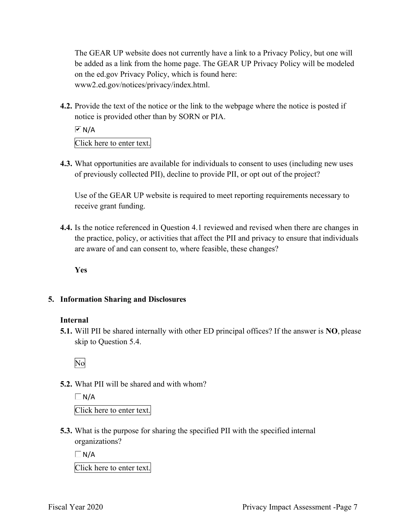be added as a link from the home page. The GEAR UP Privacy Policy will be modeled The GEAR UP website does not currently have a link to a Privacy Policy, but one will on the ed.gov Privacy Policy, which is found here: [www2.ed.gov/notices/privacy/index.html.](https://www2.ed.gov/notices/privacy/index.html)

 **4.2.** Provide the text of the notice or the link to the webpage where the notice is posted if notice is provided other than by SORN or PIA.

 $\overline{M}$  N/A

Click here to enter text.

 of previously collected PII), decline to provide PII, or opt out of the project? **4.3.** What opportunities are available for individuals to consent to uses (including new uses

 Use of the GEAR UP website is required to meet reporting requirements necessary to receive grant funding.

 are aware of and can consent to, where feasible, these changes? **4.4.** Is the notice referenced in Question 4.1 reviewed and revised when there are changes in the practice, policy, or activities that affect the PII and privacy to ensure that individuals

**Yes** 

#### **5. Information Sharing and Disclosures**

#### **Internal**

 **5.1.** Will PII be shared internally with other ED principal offices? If the answer is **NO**, please skip to Question 5.4.

No

#### **5.2.** What PII will be shared and with whom?

 $\Box$  N/A Click here to enter text.

 **5.3.** What is the purpose for sharing the specified PII with the specified internal organizations?

 $\Box$  N/A

Click here to enter text.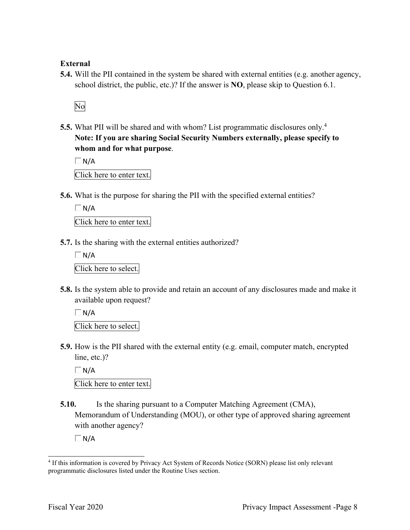#### **External**

 **5.4.** Will the PII contained in the system be shared with external entities (e.g. another agency, school district, the public, etc.)? If the answer is **NO**, please skip to Question 6.1.

No

 **Note: If you are sharing Social Security Numbers externally, please specify to 5.5.** What PII will be shared and with whom? List programmatic disclosures only.<sup>4</sup> **whom and for what purpose**.

 $\Box$  N/A

Click here to enter text.

**5.6.** What is the purpose for sharing the PII with the specified external entities?

 $\Box$  N/A

Click here to enter text.

**5.7.** Is the sharing with the external entities authorized?

 $\Box$  N/A Click here to select.

 available upon request? **5.8.** Is the system able to provide and retain an account of any disclosures made and make it

 $\Box$  N/A Click here to select.

**5.9.** How is the PII shared with the external entity (e.g. email, computer match, encrypted line, etc.)?

 $\Box$ N/A Click here to enter text.

 with another agency? **5.10.** Is the sharing pursuant to a Computer Matching Agreement (CMA), Memorandum of Understanding (MOU), or other type of approved sharing agreement

 $\Box N/A$ 

<sup>&</sup>lt;sup>4</sup> If this information is covered by Privacy Act System of Records Notice (SORN) please list only relevant programmatic disclosures listed under the Routine Uses section.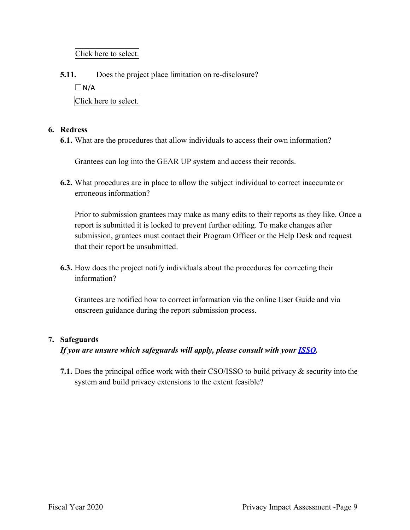Click here to select.

**5.11.** Does the project place limitation on re-disclosure?

 $\Box$  N/A

Click here to select.

#### **6. Redress**

**6.1.** What are the procedures that allow individuals to access their own information?

Grantees can log into the GEAR UP system and access their records.

 **6.2.** What procedures are in place to allow the subject individual to correct inaccurate or erroneous information?

Prior to submission grantees may make as many edits to their reports as they like. Once a report is submitted it is locked to prevent further editing. To make changes after submission, grantees must contact their Program Officer or the Help Desk and request that their report be unsubmitted.

**6.3.** How does the project notify individuals about the procedures for correcting their information?

Grantees are notified how to correct information via the online User Guide and via onscreen guidance during the report submission process.

#### **7. Safeguards**

 *If you are unsure which safeguards will apply, please consult with your ISSO.* 

 **7.1.** Does the principal office work with their CSO/ISSO to build privacy & security into the system and build privacy extensions to the extent feasible?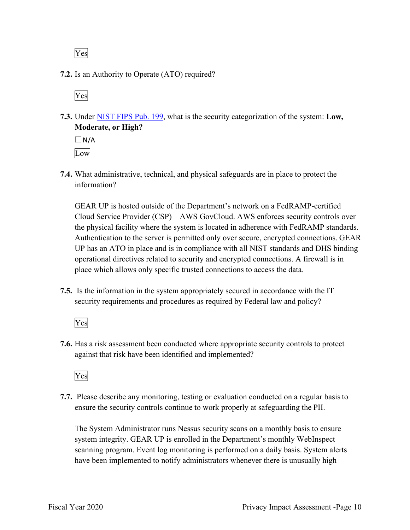Yes

**7.2.** Is an Authority to Operate (ATO) required?

Yes

 **Moderate, or High? 7.3.** Under NIST FIPS Pub. 199, what is the security categorization of the system: **Low,** 

 $\Box$  N/A Low

 **7.4.** What administrative, technical, and physical safeguards are in place to protect the information?

 GEAR UP is hosted outside of the Department's network on a FedRAMP-certified Cloud Service Provider (CSP) – AWS GovCloud. AWS enforces security controls over place which allows only specific trusted connections to access the data. the physical facility where the system is located in adherence with FedRAMP standards. Authentication to the server is permitted only over secure, encrypted connections. GEAR UP has an ATO in place and is in compliance with all NIST standards and DHS binding operational directives related to security and encrypted connections. A firewall is in

 security requirements and procedures as required by Federal law and policy? **7.5.** Is the information in the system appropriately secured in accordance with the IT

Yes

**7.6.** Has a risk assessment been conducted where appropriate security controls to protect against that risk have been identified and implemented?

Yes

 ensure the security controls continue to work properly at safeguarding the PII. **7.7.** Please describe any monitoring, testing or evaluation conducted on a regular basis to

 The System Administrator runs Nessus security scans on a monthly basis to ensure system integrity. GEAR UP is enrolled in the Department's monthly WebInspect scanning program. Event log monitoring is performed on a daily basis. System alerts have been implemented to notify administrators whenever there is unusually high